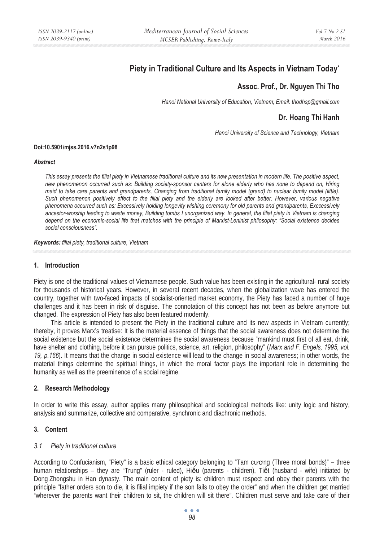# **Piety in Traditional Culture and Its Aspects in Vietnam Today\***

## **Assoc. Prof., Dr. Nguyen Thi Tho**

*Hanoi National University of Education, Vietnam; Email: thodhsp@gmail.com* 

## **Dr. Hoang Thi Hanh**

*Hanoi University of Science and Technology, Vietnam* 

#### **Doi:10.5901/mjss.2016.v7n2s1p98**

#### *Abstract*

*This essay presents the filial piety in Vietnamese traditional culture and its new presentation in modern life. The positive aspect, new phenomenon occurred such as: Building society-sponsor centers for alone elderly who has none to depend on, Hiring maid to take care parents and grandparents, Changing from traditional family model (grand) to nuclear family model (little).*  Such phenomenon positively effect to the filial piety and the elderly are looked after better. However, various negative *phenomena occurred such as: Excessively holding longevity wishing ceremony for old parents and grandparents, Exccessively*  ancestor-worship leading to waste money, Building tombs I unorganized way. In general, the filial piety in Vietnam is changing *depend on the economic-social life that matches with the principle of Marxist-Leninist philosophy: "Social existence decides social consciousness".* 

*Keywords: filial piety, traditional culture, Vietnam*

#### **1. Introduction**

Piety is one of the traditional values of Vietnamese people. Such value has been existing in the agricultural- rural society for thousands of historical years. However, in several recent decades, when the globalization wave has entered the country, together with two-faced impacts of socialist-oriented market economy, the Piety has faced a number of huge challenges and it has been in risk of disguise. The connotation of this concept has not been as before anymore but changed. The expression of Piety has also been featured modernly.

This article is intended to present the Piety in the traditional culture and its new aspects in Vietnam currently; thereby, it proves Marx's treatise: It is the material essence of things that the social awareness does not determine the social existence but the social existence determines the social awareness because "mankind must first of all eat, drink, have shelter and clothing, before it can pursue politics, science, art, religion, philosophy" (*Marx and F. Engels, 1995, vol. 19, p.166*). It means that the change in social existence will lead to the change in social awareness; in other words, the material things determine the spiritual things, in which the moral factor plays the important role in determining the humanity as well as the preeminence of a social regime.

## **2. Research Methodology**

In order to write this essay, author applies many philosophical and sociological methods like: unity logic and history, analysis and summarize, collective and comparative, synchronic and diachronic methods.

## **3. Content**

## *3.1 Piety in traditional culture*

According to Confucianism, "Piety" is a basic ethical category belonging to "Tam curong (Three moral bonds)" – three human relationships – they are "Trung" (ruler - ruled), Hiếu (parents - children), Tiết (husband - wife) initiated by Dong Zhongshu in Han dynasty. The main content of piety is: children must respect and obey their parents with the principle "father orders son to die, it is filial impiety if the son fails to obey the order" and when the children get married "wherever the parents want their children to sit, the children will sit there". Children must serve and take care of their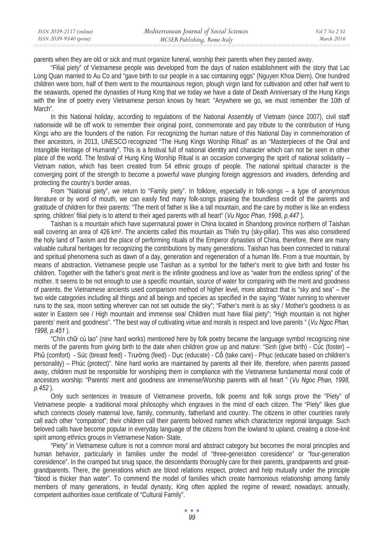parents when they are old or sick and must organize funeral, worship their parents when they passed away.

"Filial piety" of Vietnamese people was developed from the days of nation establishment with the story that Lac Long Quan married to Au Co and "gave birth to our people in a sac containing eggs" (Nguyen Khoa Diem). One hundred children were born, half of them went to the mountainous region, plough virgin land for cultivation and other half went to the seawards, opened the dynasties of Hung King that we today we have a date of Death Anniversary of the Hung Kings with the line of poetry every Vietnamese person knows by heart: "Anywhere we go, we must remember the 10th of March".

In this National holiday, according to regulations of the National Assembly of Vietnam (since 2007), civil staff nationwide will be off work to remember their original point, commemorate and pay tribute to the contribution of Hung Kings who are the founders of the nation. For recognizing the human nature of this National Day in commemoration of their ancestors, in 2013, UNESCO recognized "The Hung Kings Worship Ritual" as an "Masterpieces of the Oral and Intangible Heritage of Humanity". This is a festival full of national identity and character which can not be seen in other place of the world. The festival of Hung King Worship Ritual is an occasion converging the spirit of national solidarity – Vietnam nation, which has been created from 54 ethnic groups of people. The national spiritual character is the converging point of the strength to become a powerful wave plunging foreign aggressors and invaders, defending and protecting the country's border areas.

From "National piety", we return to "Family piety". In folklore, especially in folk-songs – a type of anonymous literature or by word of mouth, we can easily find many folk-songs praising the boundless credit of the parents and gratitude of children for their parents: "The merit of father is like a tall mountain, and the care by mother is like an endless spring, children' filial piety is to attend to their aged parents with all heart" (*Vu Ngoc Phan, 1998, p.447* ).

Taishan is a mountain which have supernatural power in China located in Shandong province northern of Taishan wall covering an area of 426 km<sup>2</sup>. The ancients called this mountain as Thiên tru (sky-pillar). This was also considered the holy land of Taoism and the place of performing rituals of the Emperor dynasties of China, therefore, there are many valuable cultural heritages for recognizing the contributions by many generations. Taishan has been connected to natural and spiritual phenomena such as dawn of a day, generation and regeneration of a human life. From a true mountain, by means of abstraction, Vietnamese people use Taishan as a symbol for the father's merit to give birth and foster his children. Together with the father's great merit is the infinite goodness and love as "water from the endless spring" of the mother. It seems to be not enough to use a specific mountain, source of water for comparing with the merit and goodness of parents, the Vietnamese ancients used comparison method of higher level, more abstract that is "sky and sea" – the two wide categories including all things and all beings and species as specified in the saying "Water running to wherever runs to the sea, moon setting wherever can not set outside the sky"; "Father's merit is as sky / Mother's goodness is as water in Eastern see / High mountain and immense sea/ Children must have filial piety"; "High mountain is not higher parents' merit and goodness". "The best way of cultivating virtue and morals is respect and love parents " (*Vu Ngoc Phan, 1998, p.451* ).

"Chín chӳ cù lao" (nine hard works) mentioned here by folk poetry became the language symbol recognizing nine merits of the parents from giving birth to the date when children grow up and mature: "Sinh (give birth) - Cúc (foster) – Phủ (comfort) - Súc (breast feed) - Trường (feed) - Duc (educate) - Cố (take care) - Phuc (educate based on children's personality) – Phúc (protect)". Nine hard works are maintained by parents all their life, therefore, when parents passed away, children must be responsible for worshiping them in compliance with the Vietnamese fundamental moral code of ancestors worship: "Parents' merit and goodness are immense/Worship parents with all heart " (*Vu Ngoc Phan, 1998, p.452* ).

Only such sentences in treasure of Vietnamese proverbs, folk poems and folk songs prove the "Piety" of Vietnamese people- a traditional moral philosophy which engraves in the mind of each citizen. The "Piety" likes glue which connects closely maternal love, family, community, fatherland and country. The citizens in other countries rarely call each other "compatriot"; their children call their parents beloved names which characterize regional language. Such beloved calls have become popular in everyday language of the citizens from the lowland to upland, creating a close-knit spirit among ethnics groups in Vietnamese Nation- State.

"Piety" in Vietnamese culture is not a common moral and abstract category but becomes the moral principles and human behavior, particularly in families under the model of "three-generation coresidence" or "four-generation coresidence". In the cramped but snug space, the descendants thoroughly care for their parents, grandparents and greatgrandparents. There, the generations which are blood relations respect, protect and help mutually under the principle "blood is thicker than water". To commend the model of families which create harmonious relationship among family members of many generations, in feudal dynasty, King often applied the regime of reward; nowadays; annually, competent authorities issue certificate of "Cultural Family".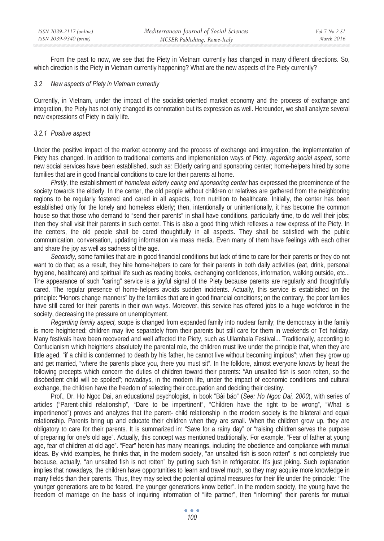| ISSN 2039-2117 (online) | Mediterranean Journal of Social Sciences | Vol 7 No 2 S1 |
|-------------------------|------------------------------------------|---------------|
| ISSN 2039-9340 (print)  | MCSER Publishing, Rome-Italy             | March 2016    |

From the past to now, we see that the Piety in Vietnam currently has changed in many different directions. So, which direction is the Piety in Vietnam currently happening? What are the new aspects of the Piety currently?

#### *3.2 New aspects of Piety in Vietnam currently*

Currently, in Vietnam, under the impact of the socialist-oriented market economy and the process of exchange and integration, the Piety has not only changed its connotation but its expression as well. Hereunder, we shall analyze several new expressions of Piety in daily life.

#### *3.2.1 Positive aspect*

Under the positive impact of the market economy and the process of exchange and integration, the implementation of Piety has changed. In addition to traditional contents and implementation ways of Piety, *regarding social aspect*, some new social services have been established, such as: Elderly caring and sponsoring center; home-helpers hired by some families that are in good financial conditions to care for their parents at home.

*Firstly,* the establishment of *homeless elderly caring and sponsoring center* has expressed the preeminence of the society towards the elderly. In the center, the old people without children or relatives are gathered from the neighboring regions to be regularly fostered and cared in all aspects, from nutrition to healthcare. Initially, the center has been established only for the lonely and homeless elderly; then, intentionally or unintentionally, it has become the common house so that those who demand to "send their parents" in shall have conditions, particularly time, to do well their jobs; then they shall visit their parents in such center. This is also a good thing which reflexes a new express of the Piety. In the centers, the old people shall be cared thoughtfully in all aspects. They shall be satisfied with the public communication, conversation, updating information via mass media. Even many of them have feelings with each other and share the joy as well as sadness of the age.

*Secondly,* some families that are in good financial conditions but lack of time to care for their parents or they do not want to do that; as a result, they hire home-helpers to care for their parents in both daily activities (eat, drink, personal hygiene, healthcare) and spiritual life such as reading books, exchanging confidences, information, walking outside, etc... The appearance of such "caring" service is a joyful signal of the Piety because parents are regularly and thoughtfully cared. The regular presence of home-helpers avoids sudden incidents. Actually, this service is established on the principle: "Honors change manners" by the families that are in good financial conditions; on the contrary, the poor families have still cared for their parents in their own ways. Moreover, this service has offered jobs to a huge workforce in the society, decreasing the pressure on unemployment.

*Regarding family aspect,* scope is changed from expanded family into nuclear family; the democracy in the family is more heightened; children may live separately from their parents but still care for them in weekends or Tet holiday. Many festivals have been recovered and well affected the Piety, such as Ullambala Festival... Traditionally, according to Confucianism which heightens absolutely the parental role, the children must live under the principle that, when they are little aged, "if a child is condemned to death by his father, he cannot live without becoming impious"; when they grow up and get married, "where the parents place you, there you must sit". In the folklore, almost everyone knows by heart the following precepts which concern the duties of children toward their parents: "An unsalted fish is soon rotten, so the disobedient child will be spoiled"; nowadays, in the modern life, under the impact of economic conditions and cultural exchange, the children have the freedom of selecting their occupation and deciding their destiny.

Prof., Dr. Ho Ngoc Dai, an educational psychologist, in book "Bài báo" (*See: Ho Ngoc Dai, 2000*), with series of articles ("Parent-child relationship", "Dare to be impertinent", "Children have the right to be wrong", "What is impertinence") proves and analyzes that the parent- child relationship in the modern society is the bilateral and equal relationship. Parents bring up and educate their children when they are small. When the children grow up, they are obligatory to care for their parents. It is summarized in: "Save for a rainy day" or "raising children serves the purpose of preparing for one's old age". Actually, this concept was mentioned traditionally. For example, "Fear of father at young age, fear of children at old age". "Fear" herein has many meanings, including the obedience and compliance with mutual ideas. By vivid examples, he thinks that, in the modern society, "an unsalted fish is soon rotten" is not completely true because, actually, "an unsalted fish is not rotten" by putting such fish in refrigerator. It's just joking. Such explanation implies that nowadays, the children have opportunities to learn and travel much, so they may acquire more knowledge in many fields than their parents. Thus, they may select the potential optimal measures for their life under the principle: "The younger generations are to be feared, the younger generations know better". In the modern society, the young have the freedom of marriage on the basis of inquiring information of "life partner", then "informing" their parents for mutual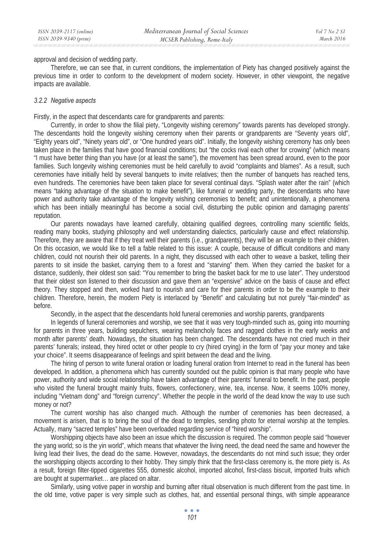approval and decision of wedding party.

Therefore, we can see that, in current conditions, the implementation of Piety has changed positively against the previous time in order to conform to the development of modern society. However, in other viewpoint, the negative impacts are available.

## *3.2.2 Negative aspects*

Firstly, in the aspect that descendants care for grandparents and parents:

Currently, in order to show the filial piety, "Longevity wishing ceremony" towards parents has developed strongly. The descendants hold the longevity wishing ceremony when their parents or grandparents are "Seventy years old", "Eighty years old", "Ninety years old", or "One hundred years old". Initially, the longevity wishing ceremony has only been taken place in the families that have good financial conditions; but "the cocks rival each other for crowing" (which means "I must have better thing than you have (or at least the same"), the movement has been spread around, even to the poor families. Such longevity wishing ceremonies must be held carefully to avoid "complaints and blames". As a result, such ceremonies have initially held by several banquets to invite relatives; then the number of banquets has reached tens, even hundreds. The ceremonies have been taken place for several continual days. "Splash water after the rain" (which means "taking advantage of the situation to make benefit"), like funeral or wedding party, the descendants who have power and authority take advantage of the longevity wishing ceremonies to benefit; and unintentionally, a phenomena which has been initially meaningful has become a social civil, disturbing the public opinion and damaging parents' reputation.

Our parents nowadays have learned carefully, obtaining qualified degrees, controlling many scientific fields, reading many books, studying philosophy and well understanding dialectics, particularly cause and effect relationship. Therefore, they are aware that if they treat well their parents (i.e., grandparents), they will be an example to their children. On this occasion, we would like to tell a fable related to this issue: A couple, because of difficult conditions and many children, could not nourish their old parents. In a night, they discussed with each other to weave a basket, telling their parents to sit inside the basket, carrying them to a forest and "starving" them. When they carried the basket for a distance, suddenly, their oldest son said: "You remember to bring the basket back for me to use later". They understood that their oldest son listened to their discussion and gave them an "expensive" advice on the basis of cause and effect theory. They stopped and then, worked hard to nourish and care for their parents in order to be the example to their children. Therefore, herein, the modern Piety is interlaced by "Benefit" and calculating but not purely "fair-minded" as before.

Secondly, in the aspect that the descendants hold funeral ceremonies and worship parents, grandparents

In legends of funeral ceremonies and worship, we see that it was very tough-minded such as, going into mourning for parents in three years, building sepulchers, wearing melancholy faces and ragged clothes in the early weeks and month after parents' death. Nowadays, the situation has been changed. The descendants have not cried much in their parents' funerals; instead, they hired octet or other people to cry (hired crying) in the form of "pay your money and take your choice". It seems disappearance of feelings and spirit between the dead and the living.

The hiring of person to write funeral oration or loading funeral oration from Internet to read in the funeral has been developed. In addition, a phenomena which has currently sounded out the public opinion is that many people who have power, authority and wide social relationship have taken advantage of their parents' funeral to benefit. In the past, people who visited the funeral brought mainly fruits, flowers, confectionery, wine, tea, incense. Now, it seems 100% money, including "Vietnam dong" and "foreign currency". Whether the people in the world of the dead know the way to use such money or not?

The current worship has also changed much. Although the number of ceremonies has been decreased, a movement is arisen, that is to bring the soul of the dead to temples, sending photo for eternal worship at the temples. Actually, many "sacred temples" have been overloaded regarding service of "hired worship".

Worshipping objects have also been an issue which the discussion is required. The common people said "however the yang world; so is the yin world", which means that whatever the living need, the dead need the same and however the living lead their lives, the dead do the same. However, nowadays, the descendants do not mind such issue; they order the worshipping objects according to their hobby. They simply think that the first-class ceremony is, the more piety is. As a result, foreign filter-tipped cigarettes 555, domestic alcohol, imported alcohol, first-class biscuit, imported fruits which are bought at supermarket… are placed on altar.

Similarly, using votive paper in worship and burning after ritual observation is much different from the past time. In the old time, votive paper is very simple such as clothes, hat, and essential personal things, with simple appearance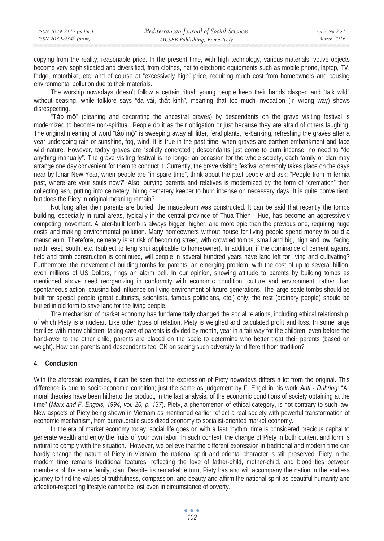copying from the reality, reasonable price. In the present time, with high technology, various materials, votive objects become very sophisticated and diversified, from clothes, hat to electronic equipments such as mobile phone, laptop, TV, fridge, motorbike, etc. and of course at "excessively high" price, requiring much cost from homeowners and causing environmental pollution due to their materials.

The worship nowadays doesn't follow a certain ritual; young people keep their hands clasped and "talk wild" without ceasing, while folklore says "đa vái, thất kinh", meaning that too much invocation (in wrong way) shows disrespecting.

"Tảo mộ" (cleaning and decorating the ancestral graves) by descendants on the grave visiting festival is modernized to become non-spiritual. People do it as their obligation or just because they are afraid of others laughing. The original meaning of word "tảo mộ" is sweeping away all litter, feral plants, re-banking, refreshing the graves after a year undergoing rain or sunshine, fog, wind. It is true in the past time, when graves are earthen embankment and face wild nature. However, today graves are "solidly concreted"; descendants just come to burn incense, no need to "do anything manually". The grave visiting festival is no longer an occasion for the whole society, each family or clan may arrange one day convenient for them to conduct it. Currently, the grave visiting festival commonly takes place on the days near by lunar New Year, when people are "in spare time", think about the past people and ask: "People from millennia past, where are your souls now?" Also, burying parents and relatives is modernized by the form of "cremation" then collecting ash, putting into cemetery, hiring cemetery keeper to burn incense on necessary days. It is quite convenient, but does the Piety in original meaning remain?

Not long after their parents are buried, the mausoleum was constructed. It can be said that recently the tombs building, especially in rural areas, typically in the central province of Thua Thien - Hue, has become an aggressively competing movement. A later-built tomb is always bigger, higher, and more epic than the previous one, requiring huge costs and making environmental pollution. Many homeowners without house for living people spend money to build a mausoleum. Therefore, cemetery is at risk of becoming street, with crowded tombs, small and big, high and low, facing north, east, south, etc. (subject to feng shui applicable to homeowner). In addition, if the dominance of cement against field and tomb construction is continued, will people in several hundred years have land left for living and cultivating? Furthermore, the movement of building tombs for parents, an emerging problem, with the cost of up to several billion, even millions of US Dollars, rings an alarm bell. In our opinion, showing attitude to parents by building tombs as mentioned above need reorganizing in conformity with economic condition, culture and environment, rather than spontaneous action, causing bad influence on living environment of future generations. The large-scale tombs should be built for special people (great culturists, scientists, famous politicians, etc.) only; the rest (ordinary people) should be buried in old form to save land for the living people.

The mechanism of market economy has fundamentally changed the social relations, including ethical relationship, of which Piety is a nuclear. Like other types of relation, Piety is weighed and calculated profit and loss. In some large families with many children, taking care of parents is divided by month, year in a fair way for the children; even before the hand-over to the other child, parents are placed on the scale to determine who better treat their parents (based on weight). How can parents and descendants feel OK on seeing such adversity far different from tradition?

## **4. Conclusion**

With the aforesaid examples, it can be seen that the expression of Piety nowadays differs a lot from the original. This difference is due to socio-economic condition; just the same as judgement by F. Engel in his work *Anti - Duhring*: "All moral theories have been hitherto the product, in the last analysis, of the economic conditions of society obtaining at the time" (*Marx and F. Engels, 1994, vol. 20, p. 137*). Piety, a phenomenon of ethical category, is not contrary to such law. New aspects of Piety being shown in Vietnam as mentioned earlier reflect a real society with powerful transformation of economic mechanism, from bureaucratic subsidized economy to socialist-oriented market economy.

In the era of market economy today, social life goes on with a fast rhythm, time is considered precious capital to generate wealth and enjoy the fruits of your own labor. In such context, the change of Piety in both content and form is natural to comply with the situation. However, we believe that the different expression in traditional and modern time can hardly change the nature of Piety in Vietnam; the national spirit and oriental character is still preserved. Piety in the modern time remains traditional features, reflecting the love of father-child, mother-child, and blood ties between members of the same family, clan. Despite its remarkable turn, Piety has and will accompany the nation in the endless journey to find the values of truthfulness, compassion, and beauty and affirm the national spirit as beautiful humanity and affection-respecting lifestyle cannot be lost even in circumstance of poverty.